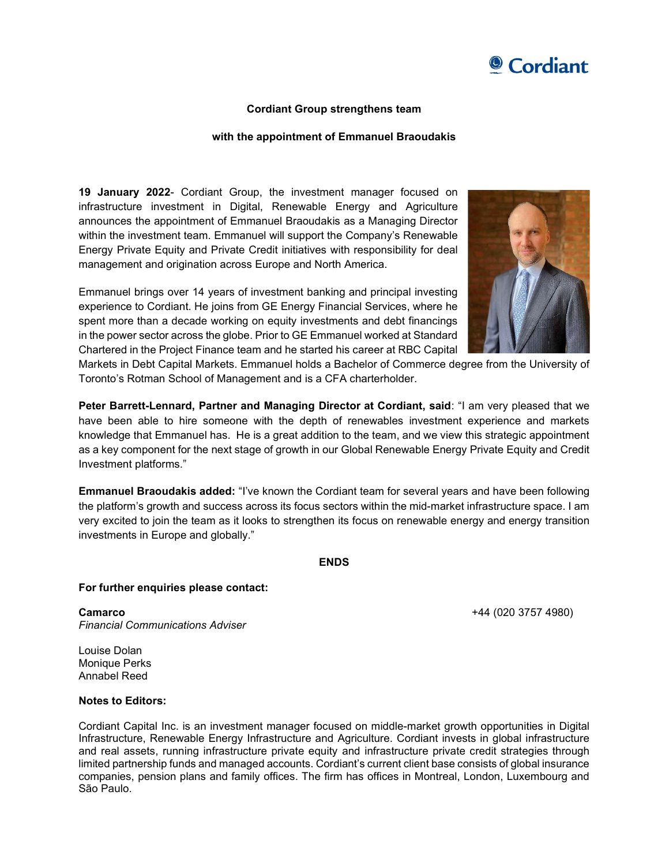

## Cordiant Group strengthens team

## with the appointment of Emmanuel Braoudakis

19 January 2022- Cordiant Group, the investment manager focused on infrastructure investment in Digital, Renewable Energy and Agriculture announces the appointment of Emmanuel Braoudakis as a Managing Director within the investment team. Emmanuel will support the Company's Renewable Energy Private Equity and Private Credit initiatives with responsibility for deal management and origination across Europe and North America.

Emmanuel brings over 14 years of investment banking and principal investing experience to Cordiant. He joins from GE Energy Financial Services, where he spent more than a decade working on equity investments and debt financings in the power sector across the globe. Prior to GE Emmanuel worked at Standard Chartered in the Project Finance team and he started his career at RBC Capital



Markets in Debt Capital Markets. Emmanuel holds a Bachelor of Commerce degree from the University of Toronto's Rotman School of Management and is a CFA charterholder.

Peter Barrett-Lennard, Partner and Managing Director at Cordiant, said: "I am very pleased that we have been able to hire someone with the depth of renewables investment experience and markets knowledge that Emmanuel has. He is a great addition to the team, and we view this strategic appointment as a key component for the next stage of growth in our Global Renewable Energy Private Equity and Credit Investment platforms."

Emmanuel Braoudakis added: "I've known the Cordiant team for several years and have been following the platform's growth and success across its focus sectors within the mid-market infrastructure space. I am very excited to join the team as it looks to strengthen its focus on renewable energy and energy transition investments in Europe and globally."

ENDS

## For further enquiries please contact:

**Camarco** +44 (020 3757 4980) Financial Communications Adviser

Louise Dolan Monique Perks Annabel Reed

## Notes to Editors:

Cordiant Capital Inc. is an investment manager focused on middle-market growth opportunities in Digital Infrastructure, Renewable Energy Infrastructure and Agriculture. Cordiant invests in global infrastructure and real assets, running infrastructure private equity and infrastructure private credit strategies through limited partnership funds and managed accounts. Cordiant's current client base consists of global insurance companies, pension plans and family offices. The firm has offices in Montreal, London, Luxembourg and São Paulo.